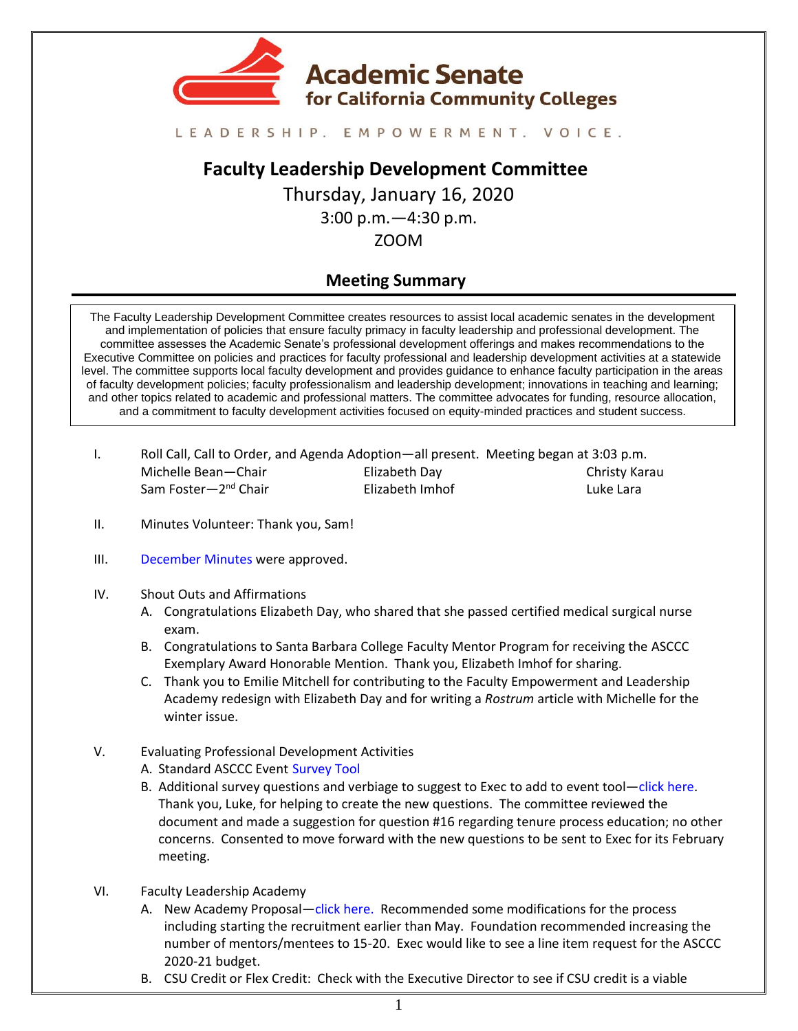

#### LEADERSHIP. EMPOWERMENT. VOICE.

# **Faculty Leadership Development Committee**

Thursday, January 16, 2020

3:00 p.m.—4:30 p.m.

### ZOOM

## **Meeting Summary**

The Faculty Leadership Development Committee creates resources to assist local academic senates in the development and implementation of policies that ensure faculty primacy in faculty leadership and professional development. The committee assesses the Academic Senate's professional development offerings and makes recommendations to the Executive Committee on policies and practices for faculty professional and leadership development activities at a statewide level. The committee supports local faculty development and provides guidance to enhance faculty participation in the areas of faculty development policies; faculty professionalism and leadership development; innovations in teaching and learning; and other topics related to academic and professional matters. The committee advocates for funding, resource allocation, and a commitment to faculty development activities focused on equity-minded practices and student success.

| Roll Call, Call to Order, and Agenda Adoption—all present. Meeting began at 3:03 p.m. |                 |                      |
|---------------------------------------------------------------------------------------|-----------------|----------------------|
| Michelle Bean-Chair                                                                   | Elizabeth Day   | <b>Christy Karau</b> |
| Sam Foster-2 <sup>nd</sup> Chair                                                      | Elizabeth Imhof | Luke Lara            |

- II. Minutes Volunteer: Thank you, Sam!
- III. [December Minutes](https://drive.google.com/drive/u/1/folders/1vyjuTIYVEmXyV1ZgaLghqG4KTYKA_P_X) were approved.
- IV. Shout Outs and Affirmations
	- A. Congratulations Elizabeth Day, who shared that she passed certified medical surgical nurse exam.
	- B. Congratulations to Santa Barbara College Faculty Mentor Program for receiving the ASCCC Exemplary Award Honorable Mention. Thank you, Elizabeth Imhof for sharing.
	- C. Thank you to Emilie Mitchell for contributing to the Faculty Empowerment and Leadership Academy redesign with Elizabeth Day and for writing a *Rostrum* article with Michelle for the winter issue.
- V. Evaluating Professional Development Activities
	- A. Standard ASCCC Event [Survey Tool](https://drive.google.com/file/d/1SEtqgTk68iPrOei5u1MzQ8Oa08mbsSRZ/view?usp=sharing)
	- B. Additional survey questions and verbiage to suggest to Exec to add to event tool—[click here.](https://docs.google.com/document/d/1Hw79Mph4PV9bUYcZM8dYApoqvGWMvFWZhM-B_lpVUss/edit?usp=sharing) Thank you, Luke, for helping to create the new questions. The committee reviewed the document and made a suggestion for question #16 regarding tenure process education; no other concerns. Consented to move forward with the new questions to be sent to Exec for its February meeting.
- VI. Faculty Leadership Academy
	- A. New Academy Proposal—[click here.](https://docs.google.com/document/d/1Qpy4YQ-1z7zIO3UuYCUFcQHwISzOu57umlEVm62LroA/edit?usp=sharing) Recommended some modifications for the process including starting the recruitment earlier than May. Foundation recommended increasing the number of mentors/mentees to 15-20. Exec would like to see a line item request for the ASCCC 2020-21 budget.
	- B. CSU Credit or Flex Credit: Check with the Executive Director to see if CSU credit is a viable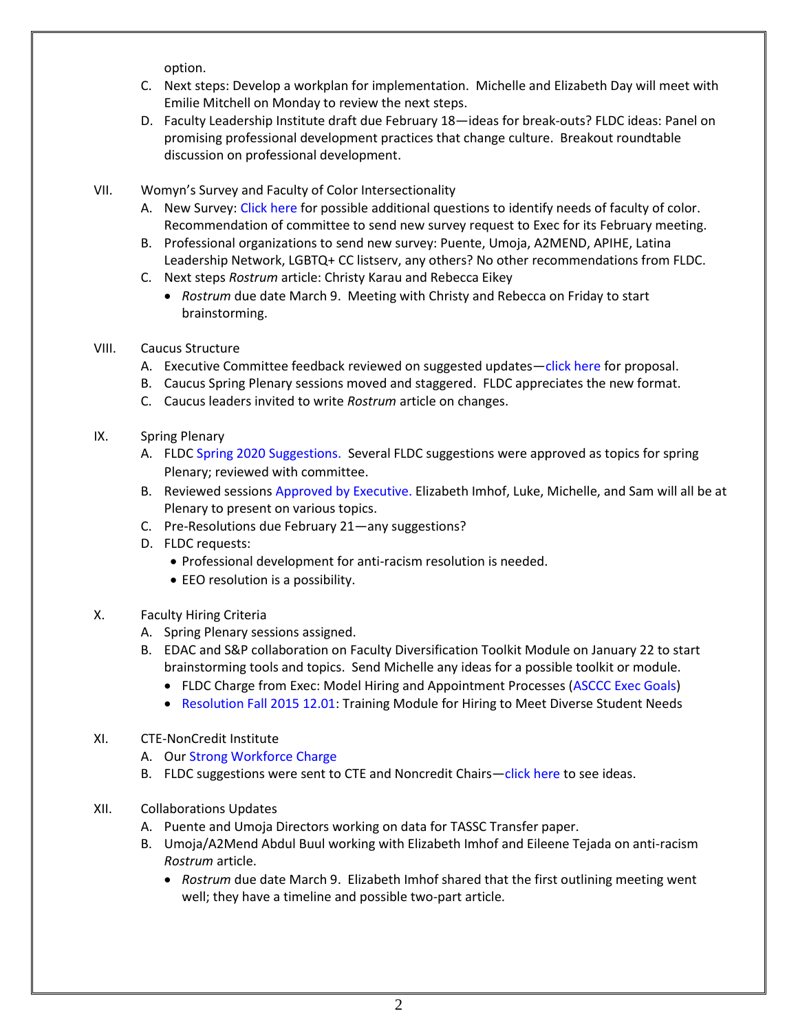option.

- C. Next steps: Develop a workplan for implementation. Michelle and Elizabeth Day will meet with Emilie Mitchell on Monday to review the next steps.
- D. Faculty Leadership Institute draft due February 18—ideas for break-outs? FLDC ideas: Panel on promising professional development practices that change culture. Breakout roundtable discussion on professional development.
- VII. Womyn's Survey and Faculty of Color Intersectionality
	- A. New Survey[: Click here](https://docs.google.com/document/d/1eLcoTUBC45rsLWxz5EraIz-LuMWy9nhYqdiadgNUd0Q/edit?usp=sharing) for possible additional questions to identify needs of faculty of color. Recommendation of committee to send new survey request to Exec for its February meeting.
	- B. Professional organizations to send new survey: Puente, Umoja, A2MEND, APIHE, Latina Leadership Network, LGBTQ+ CC listserv, any others? No other recommendations from FLDC.
	- C. Next steps *Rostrum* article: Christy Karau and Rebecca Eikey
		- *Rostrum* due date March 9. Meeting with Christy and Rebecca on Friday to start brainstorming.
- VIII. Caucus Structure
	- A. Executive Committee feedback reviewed on suggested updates—[click here](https://docs.google.com/document/d/1zGBXj7oHnQLA1WluoAuvka2wdNSHp1NBp62BZqbGkwA/edit?usp=sharing) for proposal.
	- B. Caucus Spring Plenary sessions moved and staggered. FLDC appreciates the new format.
	- C. Caucus leaders invited to write *Rostrum* article on changes.
- IX. Spring Plenary
	- A. FLDC [Spring 2020 Suggestions.](https://docs.google.com/document/d/1DB0XbjSkE0uVJC8P7MkxZnfaMUi_AJoRXROczmHkCec/edit?usp=sharing) Several FLDC suggestions were approved as topics for spring Plenary; reviewed with committee.
	- B. Reviewed sessions [Approved by Executive.](https://asccc.org/sites/default/files/IV.%20F.%20%281%29%20Spring%20Session%202020%20Draft%20Outline%20-%20for%20Jan%2010%20Exec%20Meeting.pdf) Elizabeth Imhof, Luke, Michelle, and Sam will all be at Plenary to present on various topics.
	- C. Pre-Resolutions due February 21—any suggestions?
	- D. FLDC requests:
		- Professional development for anti-racism resolution is needed.
		- EEO resolution is a possibility.
- X. Faculty Hiring Criteria
	- A. Spring Plenary sessions assigned.
	- B. EDAC and S&P collaboration on Faculty Diversification Toolkit Module on January 22 to start brainstorming tools and topics. Send Michelle any ideas for a possible toolkit or module.
		- FLDC Charge from Exec: Model Hiring and Appointment Processes [\(ASCCC Exec Goals\)](https://drive.google.com/file/d/14442JiksVZ9bSTQSWjCHtlvOISfGf4bx/view?usp=sharing)
		- [Resolution Fall 2015 12.01:](https://www.asccc.org/resolutions/hiring-culturally-aware-faculty) Training Module for Hiring to Meet Diverse Student Needs
- XI. CTE-NonCredit Institute
	- A. Our [Strong Workforce Charge](https://drive.google.com/file/d/16hKfj3C1FDUL0h3eUC9pken2ouIuqOoi/view)
	- B. FLDC suggestions were sent to CTE and Noncredit Chairs—[click here](https://docs.google.com/document/d/1IVQGuqXAftGN_3WXsxIuIECcCiNTR4CUQUDK55pNS7M/edit?usp=sharing) to see ideas.
- XII. Collaborations Updates
	- A. Puente and Umoja Directors working on data for TASSC Transfer paper.
	- B. Umoja/A2Mend Abdul Buul working with Elizabeth Imhof and Eileene Tejada on anti-racism *Rostrum* article.
		- *Rostrum* due date March 9. Elizabeth Imhof shared that the first outlining meeting went well; they have a timeline and possible two-part article.